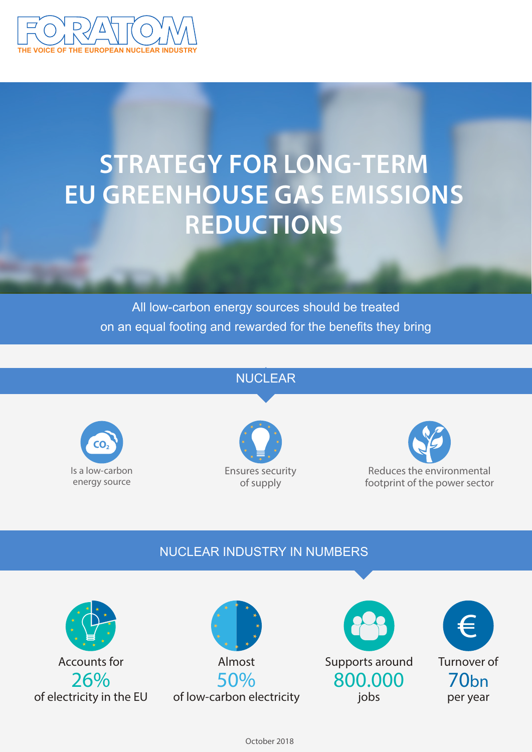

# **STRATEGY FOR LONG-TERM EU GREENHOUSE GAS EMISSIONS REDUCTIONS**

All low-carbon energy sources should be treated on an equal footing and rewarded for the benefits they bring

## NUCLEAR







## NUCLEAR INDUSTRY IN NUMBERS









October 2018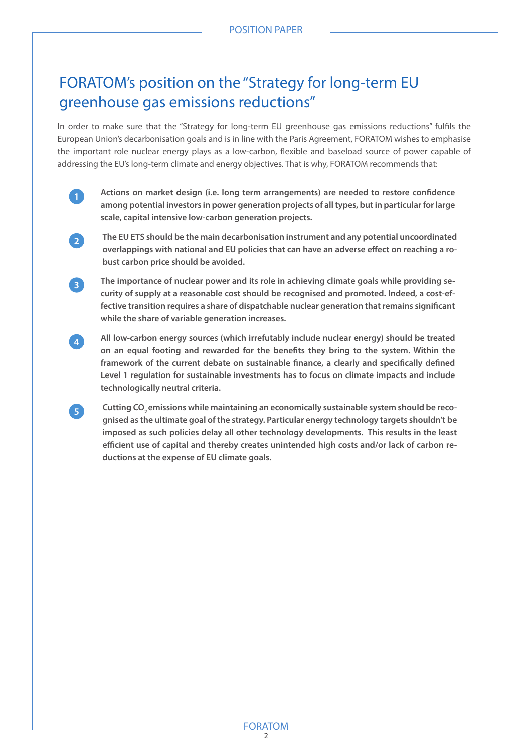# FORATOM's position on the "Strategy for long-term EU greenhouse gas emissions reductions"

In order to make sure that the "Strategy for long-term EU greenhouse gas emissions reductions" fulfils the European Union's decarbonisation goals and is in line with the Paris Agreement, FORATOM wishes to emphasise the important role nuclear energy plays as a low-carbon, flexible and baseload source of power capable of addressing the EU's long-term climate and energy objectives. That is why, FORATOM recommends that:



**Actions on market design (i.e. long term arrangements) are needed to restore confidence among potential investors in power generation projects of all types, but in particular for large scale, capital intensive low-carbon generation projects.**



**4**

**5**

**The EU ETS should be the main decarbonisation instrument and any potential uncoordinated overlappings with national and EU policies that can have an adverse effect on reaching a robust carbon price should be avoided.** 



**All low-carbon energy sources (which irrefutably include nuclear energy) should be treated on an equal footing and rewarded for the benefits they bring to the system. Within the framework of the current debate on sustainable finance, a clearly and specifically defined Level 1 regulation for sustainable investments has to focus on climate impacts and include technologically neutral criteria.** 

Cutting CO<sub>2</sub> emissions while maintaining an economically sustainable system should be reco**gnised as the ultimate goal of the strategy. Particular energy technology targets shouldn't be imposed as such policies delay all other technology developments. This results in the least efficient use of capital and thereby creates unintended high costs and/or lack of carbon reductions at the expense of EU climate goals.**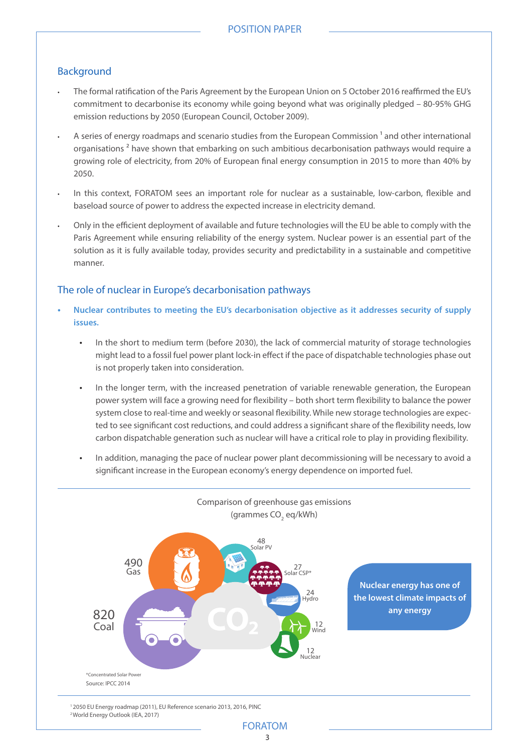#### Background

- The formal ratification of the Paris Agreement by the European Union on 5 October 2016 reaffirmed the EU's commitment to decarbonise its economy while going beyond what was originally pledged – 80-95% GHG emission reductions by 2050 (European Council, October 2009).
- A series of energy roadmaps and scenario studies from the European Commission<sup>1</sup> and other international organisations<sup>2</sup> have shown that embarking on such ambitious decarbonisation pathways would require a growing role of electricity, from 20% of European final energy consumption in 2015 to more than 40% by 2050.
- In this context, FORATOM sees an important role for nuclear as a sustainable, low-carbon, flexible and baseload source of power to address the expected increase in electricity demand.
- Only in the efficient deployment of available and future technologies will the EU be able to comply with the Paris Agreement while ensuring reliability of the energy system. Nuclear power is an essential part of the solution as it is fully available today, provides security and predictability in a sustainable and competitive manner.

#### The role of nuclear in Europe's decarbonisation pathways

- **• Nuclear contributes to meeting the EU's decarbonisation objective as it addresses security of supply issues.**
	- In the short to medium term (before 2030), the lack of commercial maturity of storage technologies might lead to a fossil fuel power plant lock-in effect if the pace of dispatchable technologies phase out is not properly taken into consideration.
	- In the longer term, with the increased penetration of variable renewable generation, the European power system will face a growing need for flexibility – both short term flexibility to balance the power system close to real-time and weekly or seasonal flexibility. While new storage technologies are expected to see significant cost reductions, and could address a significant share of the flexibility needs, low carbon dispatchable generation such as nuclear will have a critical role to play in providing flexibility.
	- In addition, managing the pace of nuclear power plant decommissioning will be necessary to avoid a significant increase in the European economy's energy dependence on imported fuel.



1 2050 EU Energy roadmap (2011), EU Reference scenario 2013, 2016, PINC 2 World Energy Outlook (IEA, 2017)